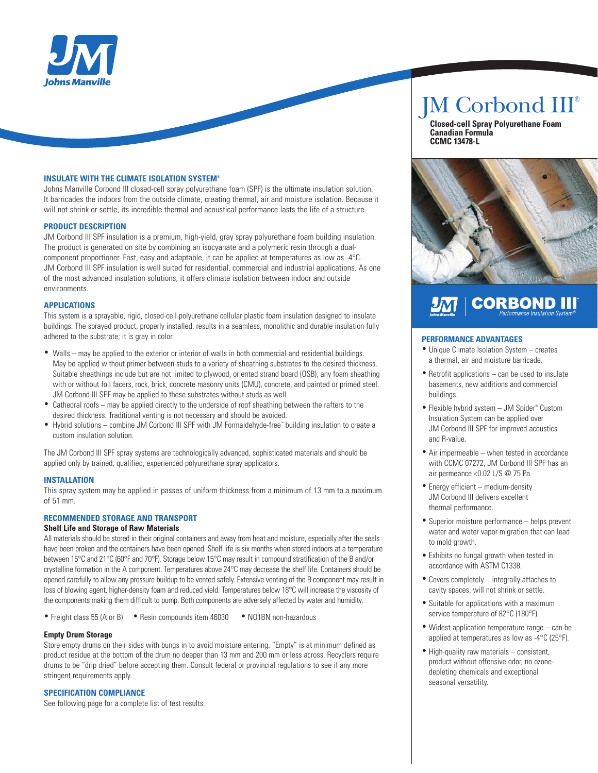

#### **INSULATE WITH THE CLIMATE ISOLATION SYSTEM®**

Johns Manville Corbond III closed-cell spray polyurethane foam (SPF) is the ultimate insulation solution. It barricades the indoors from the outside climate, creating thermal, air and moisture isolation. Because it will not shrink or settle, its incredible thermal and acoustical performance lasts the life of a structure.

#### **PRODUCT DESCRIPTION**

JM Corbond III SPF insulation is a premium, high-yield, gray spray polyurethane foam building insulation. The product is generated on site by combining an isocyanate and a polymeric resin through a dualcomponent proportioner. Fast, easy and adaptable, it can be applied at temperatures as low as -4°C. JM Corbond III SPF insulation is well suited for residential, commercial and industrial applications. As one of the most advanced insulation solutions, it offers climate isolation between indoor and outside environments.

#### **APPLICATIONS**

This system is a sprayable, rigid, closed-cell polyurethane cellular plastic foam insulation designed to insulate buildings. The sprayed product, properly installed, results in a seamless, monolithic and durable insulation fully adhered to the substrate; it is gray in color.

- Walls may be applied to the exterior or interior of walls in both commercial and residential buildings. May be applied without primer between studs to a variety of sheathing substrates to the desired thickness. Suitable sheathings include but are not limited to plywood, oriented strand board (OSB), any foam sheathing with or without foil facers, rock, brick, concrete masonry units (CMU), concrete, and painted or primed steel. JM Corbond III SPF may be applied to these substrates without studs as well.
- Cathedral roofs may be applied directly to the underside of roof sheathing between the rafters to the desired thickness. Traditional venting is not necessary and should be avoided.
- Hybrid solutions combine JM Corbond III SPF with JM Formaldehyde-free™ building insulation to create a custom insulation solution.

The JM Corbond III SPF spray systems are technologically advanced, sophisticated materials and should be applied only by trained, qualified, experienced polyurethane spray applicators.

#### **INSTALLATION**

This spray system may be applied in passes of uniform thickness from a minimum of 13 mm to a maximum of 51 mm.

#### **RECOMMENDED STORAGE AND TRANSPORT**

#### **Shelf Life and Storage of Raw Materials**

All materials should be stored in their original containers and away from heat and moisture, especially after the seals have been broken and the containers have been opened. Shelf life is six months when stored indoors at a temperature between 15°C and 21°C (60°F and 70°F). Storage below 15°C may result in compound stratification of the B and/or crystalline formation in the A component. Temperatures above 24°C may decrease the shelf life. Containers should be opened carefully to allow any pressure buildup to be vented safely. Extensive venting of the B component may result in loss of blowing agent, higher-density foam and reduced yield. Temperatures below 18°C will increase the viscosity of the components making them difficult to pump. Both components are adversely affected by water and humidity.

• Freight class 55 (A or B) • Resin compounds item 46030 • NO1BN non-hazardous

#### **Empty Drum Storage**

Store empty drums on their sides with bungs in to avoid moisture entering. "Empty" is at minimum defined as product residue at the bottom of the drum no deeper than 13 mm and 200 mm or less across. Recyclers require drums to be "drip dried" before accepting them. Consult federal or provincial regulations to see if any more stringent requirements apply.

#### **SPECIFICATION COMPLIANCE**

See following page for a complete list of test results.

# JM Corbond III®

 **Closed-cell Spray Polyurethane Foam Canadian Formula CCMC 13478-L**



# **CORBOND III** <u>Јм</u>

#### **PERFORMANCE ADVANTAGES**

- Unique Climate Isolation System creates a thermal, air and moisture barricade.
- Retrofit applications can be used to insulate basements, new additions and commercial buildings.
- Flexible hybrid system JM Spider® Custom Insulation System can be applied over JM Corbond III SPF for improved acoustics and R-value.
- Air impermeable when tested in accordance with CCMC 07272, JM Corbond III SPF has an air permeance <0.02 L/S @ 75 Pa.
- Energy efficient medium-density JM Corbond III delivers excellent thermal performance.
- Superior moisture performance helps prevent water and water vapor migration that can lead to mold growth.
- Exhibits no fungal growth when tested in accordance with ASTM C1338.
- Covers completely integrally attaches to cavity spaces, will not shrink or settle.
- Suitable for applications with a maximum service temperature of 82°C (180°F).
- Widest application temperature range can be applied at temperatures as low as -4°C (25°F).
- High-quality raw materials consistent, product without offensive odor, no ozonedepleting chemicals and exceptional seasonal versatility.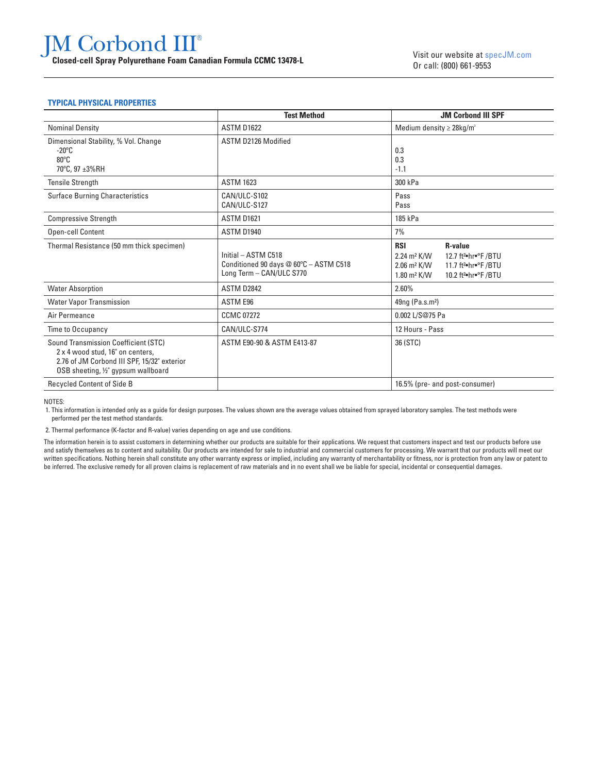# JM Corbond III® **COLOGET COLOGET COLOGET COLOGET COLOGET COLOGET CONCLUSION**<br>Closed-cell Spray Polyurethane Foam Canadian Formula CCMC 13478-L<br>Closed-cell Spray Polyurethane Foam Canadian Formula CCMC 13478-L

#### **TYPICAL PHYSICAL PROPERTIES**

|                                                                                                                                                                       | <b>Test Method</b>                                                                        | <b>JM Corbond III SPF</b>                                                                                                                                                                                                                 |
|-----------------------------------------------------------------------------------------------------------------------------------------------------------------------|-------------------------------------------------------------------------------------------|-------------------------------------------------------------------------------------------------------------------------------------------------------------------------------------------------------------------------------------------|
| <b>Nominal Density</b>                                                                                                                                                | <b>ASTM D1622</b>                                                                         | Medium density $\geq$ 28kg/m <sup>3</sup>                                                                                                                                                                                                 |
| Dimensional Stability, % Vol. Change<br>$-20^{\circ}$ C<br>$80^{\circ}$ C<br>70°C. 97 ±3%RH                                                                           | ASTM D2126 Modified                                                                       | 0.3<br>0.3<br>$-1.1$                                                                                                                                                                                                                      |
| <b>Tensile Strength</b>                                                                                                                                               | <b>ASTM 1623</b>                                                                          | 300 kPa                                                                                                                                                                                                                                   |
| <b>Surface Burning Characteristics</b>                                                                                                                                | CAN/ULC-S102<br>CAN/ULC-S127                                                              | Pass<br>Pass                                                                                                                                                                                                                              |
| <b>Compressive Strength</b>                                                                                                                                           | <b>ASTM D1621</b>                                                                         | 185 kPa                                                                                                                                                                                                                                   |
| <b>Open-cell Content</b>                                                                                                                                              | ASTM D1940                                                                                | 7%                                                                                                                                                                                                                                        |
| Thermal Resistance (50 mm thick specimen)                                                                                                                             | Initial - ASTM C518<br>Conditioned 90 days @ 60°C - ASTM C518<br>Long Term - CAN/ULC S770 | <b>RSI</b><br><b>R-value</b><br>12.7 ft <sup>2</sup> ·hr·°F /BTU<br>$2.24 \text{ m}^2 \text{ K/W}$<br>11.7 ft <sup>2</sup> ·hr·°F /BTU<br>$2.06$ m <sup>2</sup> K/W<br>10.2 ft <sup>2</sup> ·hr·°F /BTU<br>$1.80 \text{ m}^2 \text{ K/W}$ |
| <b>Water Absorption</b>                                                                                                                                               | ASTM D2842                                                                                | 2.60%                                                                                                                                                                                                                                     |
| <b>Water Vapor Transmission</b>                                                                                                                                       | ASTM E96                                                                                  | 49ng (Pa.s.m <sup>2</sup> )                                                                                                                                                                                                               |
| Air Permeance                                                                                                                                                         | <b>CCMC 07272</b>                                                                         | 0.002 L/S@75 Pa                                                                                                                                                                                                                           |
| Time to Occupancy                                                                                                                                                     | CAN/ULC-S774                                                                              | 12 Hours - Pass                                                                                                                                                                                                                           |
| <b>Sound Transmission Coefficient (STC)</b><br>2 x 4 wood stud, 16" on centers,<br>2.76 of JM Corbond III SPF, 15/32" exterior<br>OSB sheeting, 1/2" gypsum wallboard | ASTM E90-90 & ASTM E413-87                                                                | 36 (STC)                                                                                                                                                                                                                                  |
| Recycled Content of Side B                                                                                                                                            |                                                                                           | 16.5% (pre- and post-consumer)                                                                                                                                                                                                            |

NOTES:

 1. This information is intended only as a guide for design purposes. The values shown are the average values obtained from sprayed laboratory samples. The test methods were performed per the test method standards.

2. Thermal performance (K-factor and R-value) varies depending on age and use conditions.

The information herein is to assist customers in determining whether our products are suitable for their applications. We request that customers inspect and test our products before use and satisfy themselves as to content and suitability. Our products are intended for sale to industrial and commercial customers for processing. We warrant that our products will meet our written specifications. Nothing herein shall constitute any other warranty express or implied, including any warranty of merchantability or fitness, nor is protection from any law or patent to be inferred. The exclusive remedy for all proven claims is replacement of raw materials and in no event shall we be liable for special, incidental or consequential damages.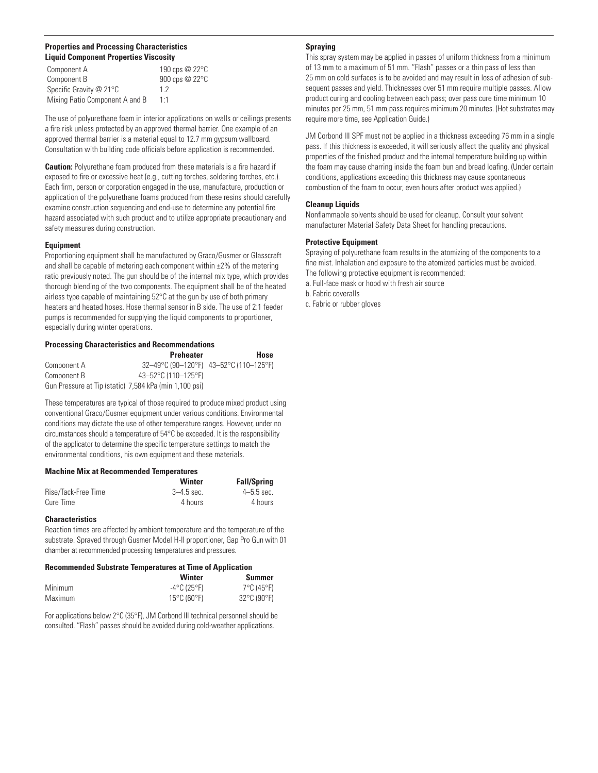#### **Properties and Processing Characteristics Liquid Component Properties Viscosity**

| Component A                    | 190 cps @ 22°C |
|--------------------------------|----------------|
| Component B                    | 900 cps @ 22°C |
| Specific Gravity @ 21°C        | 12             |
| Mixing Ratio Component A and B | $1 - 1$        |

The use of polyurethane foam in interior applications on walls or ceilings presents a fire risk unless protected by an approved thermal barrier. One example of an approved thermal barrier is a material equal to 12.7 mm gypsum wallboard. Consultation with building code officials before application is recommended.

**Caution:** Polyurethane foam produced from these materials is a fire hazard if exposed to fire or excessive heat (e.g., cutting torches, soldering torches, etc.). Each firm, person or corporation engaged in the use, manufacture, production or application of the polyurethane foams produced from these resins should carefully examine construction sequencing and end-use to determine any potential fire hazard associated with such product and to utilize appropriate precautionary and safety measures during construction.

#### **Equipment**

Proportioning equipment shall be manufactured by Graco/Gusmer or Glasscraft and shall be capable of metering each component within  $\pm$ 2% of the metering ratio previously noted. The gun should be of the internal mix type, which provides thorough blending of the two components. The equipment shall be of the heated airless type capable of maintaining 52°C at the gun by use of both primary heaters and heated hoses. Hose thermal sensor in B side. The use of 2:1 feeder pumps is recommended for supplying the liquid components to proportioner, especially during winter operations.

#### **Processing Characteristics and Recommendations**

|                                                        | <b>Preheater</b>    | Hose                                   |
|--------------------------------------------------------|---------------------|----------------------------------------|
| Component A                                            |                     | 32-49°C (90-120°F) 43-52°C (110-125°F) |
| Component B                                            | 43-52°C (110-125°F) |                                        |
| Gun Pressure at Tip (static) 7,584 kPa (min 1,100 psi) |                     |                                        |

These temperatures are typical of those required to produce mixed product using conventional Graco/Gusmer equipment under various conditions. Environmental conditions may dictate the use of other temperature ranges. However, under no circumstances should a temperature of 54°C be exceeded. It is the responsibility of the applicator to determine the specific temperature settings to match the environmental conditions, his own equipment and these materials.

#### **Machine Mix at Recommended Temperatures**

|                     | Winter         | <b>Fall/Spring</b> |
|---------------------|----------------|--------------------|
| Rise/Tack-Free Time | $3 - 4.5$ sec. | $4 - 5.5$ sec.     |
| Cure Time           | 4 hours        | 4 hours            |

#### **Characteristics**

Reaction times are affected by ambient temperature and the temperature of the substrate. Sprayed through Gusmer Model H-II proportioner, Gap Pro Gun with 01 chamber at recommended processing temperatures and pressures.

#### **Recommended Substrate Temperatures at Time of Application**

|                | Winter                           | Summer                           |
|----------------|----------------------------------|----------------------------------|
| <b>Minimum</b> | $-4$ °C (25°F)                   | 7°C (45°F)                       |
| Maximum        | $15^{\circ}$ C (60 $^{\circ}$ F) | $32^{\circ}$ C (90 $^{\circ}$ F) |

For applications below 2°C (35°F), JM Corbond III technical personnel should be consulted. "Flash" passes should be avoided during cold-weather applications.

#### **Spraying**

This spray system may be applied in passes of uniform thickness from a minimum of 13 mm to a maximum of 51 mm. "Flash" passes or a thin pass of less than 25 mm on cold surfaces is to be avoided and may result in loss of adhesion of subsequent passes and yield. Thicknesses over 51 mm require multiple passes. Allow product curing and cooling between each pass; over pass cure time minimum 10 minutes per 25 mm, 51 mm pass requires minimum 20 minutes. (Hot substrates may require more time, see Application Guide.)

JM Corbond III SPF must not be applied in a thickness exceeding 76 mm in a single pass. If this thickness is exceeded, it will seriously affect the quality and physical properties of the finished product and the internal temperature building up within the foam may cause charring inside the foam bun and bread loafing. (Under certain conditions, applications exceeding this thickness may cause spontaneous combustion of the foam to occur, even hours after product was applied.)

#### **Cleanup Liquids**

Nonflammable solvents should be used for cleanup. Consult your solvent manufacturer Material Safety Data Sheet for handling precautions.

#### **Protective Equipment**

Spraying of polyurethane foam results in the atomizing of the components to a fine mist. Inhalation and exposure to the atomized particles must be avoided. The following protective equipment is recommended:

a. Full-face mask or hood with fresh air source

b. Fabric coveralls

c. Fabric or rubber gloves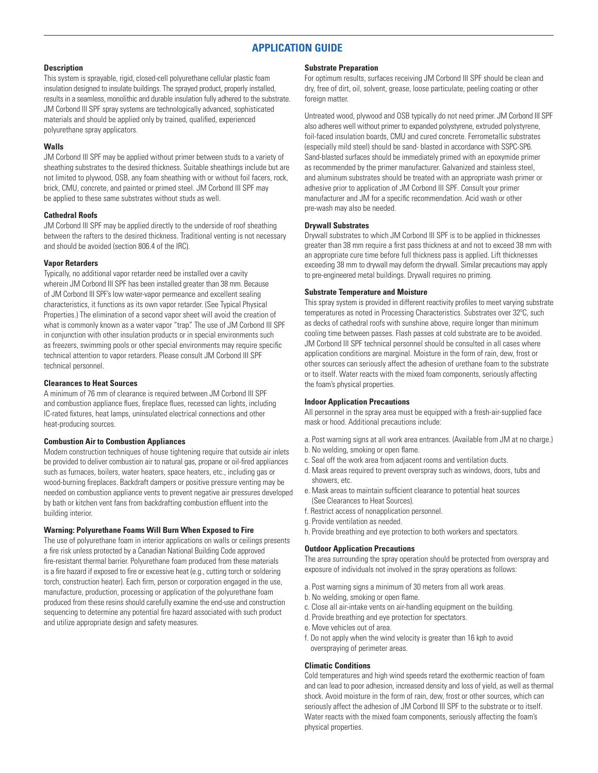## **APPLICATION GUIDE**

#### **Description**

This system is sprayable, rigid, closed-cell polyurethane cellular plastic foam insulation designed to insulate buildings. The sprayed product, properly installed, results in a seamless, monolithic and durable insulation fully adhered to the substrate. JM Corbond III SPF spray systems are technologically advanced, sophisticated materials and should be applied only by trained, qualified, experienced polyurethane spray applicators.

#### **Walls**

JM Corbond III SPF may be applied without primer between studs to a variety of sheathing substrates to the desired thickness. Suitable sheathings include but are not limited to plywood, OSB, any foam sheathing with or without foil facers, rock, brick, CMU, concrete, and painted or primed steel. JM Corbond III SPF may be applied to these same substrates without studs as well.

#### **Cathedral Roofs**

JM Corbond III SPF may be applied directly to the underside of roof sheathing between the rafters to the desired thickness. Traditional venting is not necessary and should be avoided (section 806.4 of the IRC).

#### **Vapor Retarders**

Typically, no additional vapor retarder need be installed over a cavity wherein JM Corbond III SPF has been installed greater than 38 mm. Because of JM Corbond III SPF's low water-vapor permeance and excellent sealing characteristics, it functions as its own vapor retarder. (See Typical Physical Properties.) The elimination of a second vapor sheet will avoid the creation of what is commonly known as a water vapor "trap." The use of JM Corbond III SPF in conjunction with other insulation products or in special environments such as freezers, swimming pools or other special environments may require specific technical attention to vapor retarders. Please consult JM Corbond III SPF technical personnel.

#### **Clearances to Heat Sources**

A minimum of 76 mm of clearance is required between JM Corbond III SPF and combustion appliance flues, fireplace flues, recessed can lights, including IC-rated fixtures, heat lamps, uninsulated electrical connections and other heat-producing sources.

#### **Combustion Air to Combustion Appliances**

Modern construction techniques of house tightening require that outside air inlets be provided to deliver combustion air to natural gas, propane or oil-fired appliances such as furnaces, boilers, water heaters, space heaters, etc., including gas or wood-burning fireplaces. Backdraft dampers or positive pressure venting may be needed on combustion appliance vents to prevent negative air pressures developed by bath or kitchen vent fans from backdrafting combustion effluent into the building interior.

#### **Warning: Polyurethane Foams Will Burn When Exposed to Fire**

The use of polyurethane foam in interior applications on walls or ceilings presents a fire risk unless protected by a Canadian National Building Code approved fire-resistant thermal barrier. Polyurethane foam produced from these materials is a fire hazard if exposed to fire or excessive heat (e.g., cutting torch or soldering torch, construction heater). Each firm, person or corporation engaged in the use, manufacture, production, processing or application of the polyurethane foam produced from these resins should carefully examine the end-use and construction sequencing to determine any potential fire hazard associated with such product and utilize appropriate design and safety measures.

#### **Substrate Preparation**

For optimum results, surfaces receiving JM Corbond III SPF should be clean and dry, free of dirt, oil, solvent, grease, loose particulate, peeling coating or other foreign matter.

Untreated wood, plywood and OSB typically do not need primer. JM Corbond III SPF also adheres well without primer to expanded polystyrene, extruded polystyrene, foil-faced insulation boards, CMU and cured concrete. Ferrometallic substrates (especially mild steel) should be sand- blasted in accordance with SSPC-SP6. Sand-blasted surfaces should be immediately primed with an epoxymide primer as recommended by the primer manufacturer. Galvanized and stainless steel, and aluminum substrates should be treated with an appropriate wash primer or adhesive prior to application of JM Corbond III SPF. Consult your primer manufacturer and JM for a specific recommendation. Acid wash or other pre-wash may also be needed.

#### **Drywall Substrates**

Drywall substrates to which JM Corbond III SPF is to be applied in thicknesses greater than 38 mm require a first pass thickness at and not to exceed 38 mm with an appropriate cure time before full thickness pass is applied. Lift thicknesses exceeding 38 mm to drywall may deform the drywall. Similar precautions may apply to pre-engineered metal buildings. Drywall requires no priming.

#### **Substrate Temperature and Moisture**

This spray system is provided in different reactivity profiles to meet varying substrate temperatures as noted in Processing Characteristics. Substrates over 32ºC, such as decks of cathedral roofs with sunshine above, require longer than minimum cooling time between passes. Flash passes at cold substrate are to be avoided. JM Corbond III SPF technical personnel should be consulted in all cases where application conditions are marginal. Moisture in the form of rain, dew, frost or other sources can seriously affect the adhesion of urethane foam to the substrate or to itself. Water reacts with the mixed foam components, seriously affecting the foam's physical properties.

#### **Indoor Application Precautions**

All personnel in the spray area must be equipped with a fresh-air-supplied face mask or hood. Additional precautions include:

- a. Post warning signs at all work area entrances. (Available from JM at no charge.)
- b. No welding, smoking or open flame.
- c. Seal off the work area from adjacent rooms and ventilation ducts.
- d. Mask areas required to prevent overspray such as windows, doors, tubs and showers, etc.
- e. Mask areas to maintain sufficient clearance to potential heat sources (See Clearances to Heat Sources).
- f. Restrict access of nonapplication personnel.
- g. Provide ventilation as needed.
- h. Provide breathing and eye protection to both workers and spectators.

#### **Outdoor Application Precautions**

The area surrounding the spray operation should be protected from overspray and exposure of individuals not involved in the spray operations as follows:

- a. Post warning signs a minimum of 30 meters from all work areas.
- b. No welding, smoking or open flame.
- c. Close all air-intake vents on air-handling equipment on the building.
- d. Provide breathing and eye protection for spectators.
- e. Move vehicles out of area.
- f. Do not apply when the wind velocity is greater than 16 kph to avoid overspraying of perimeter areas.

#### **Climatic Conditions**

Cold temperatures and high wind speeds retard the exothermic reaction of foam and can lead to poor adhesion, increased density and loss of yield, as well as thermal shock. Avoid moisture in the form of rain, dew, frost or other sources, which can seriously affect the adhesion of JM Corbond III SPF to the substrate or to itself. Water reacts with the mixed foam components, seriously affecting the foam's physical properties.